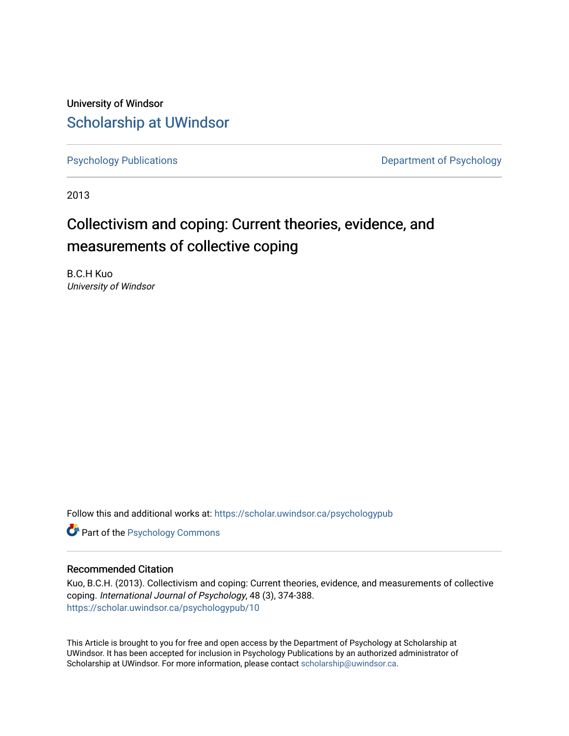University of Windsor [Scholarship at UWindsor](https://scholar.uwindsor.ca/) 

[Psychology Publications](https://scholar.uwindsor.ca/psychologypub) **Department of Psychology** 

2013

# Collectivism and coping: Current theories, evidence, and measurements of collective coping

B.C.H Kuo University of Windsor

Follow this and additional works at: [https://scholar.uwindsor.ca/psychologypub](https://scholar.uwindsor.ca/psychologypub?utm_source=scholar.uwindsor.ca%2Fpsychologypub%2F10&utm_medium=PDF&utm_campaign=PDFCoverPages) 

**Part of the Psychology Commons** 

# Recommended Citation

Kuo, B.C.H. (2013). Collectivism and coping: Current theories, evidence, and measurements of collective coping. International Journal of Psychology, 48 (3), 374-388. [https://scholar.uwindsor.ca/psychologypub/10](https://scholar.uwindsor.ca/psychologypub/10?utm_source=scholar.uwindsor.ca%2Fpsychologypub%2F10&utm_medium=PDF&utm_campaign=PDFCoverPages)

This Article is brought to you for free and open access by the Department of Psychology at Scholarship at UWindsor. It has been accepted for inclusion in Psychology Publications by an authorized administrator of Scholarship at UWindsor. For more information, please contact [scholarship@uwindsor.ca.](mailto:scholarship@uwindsor.ca)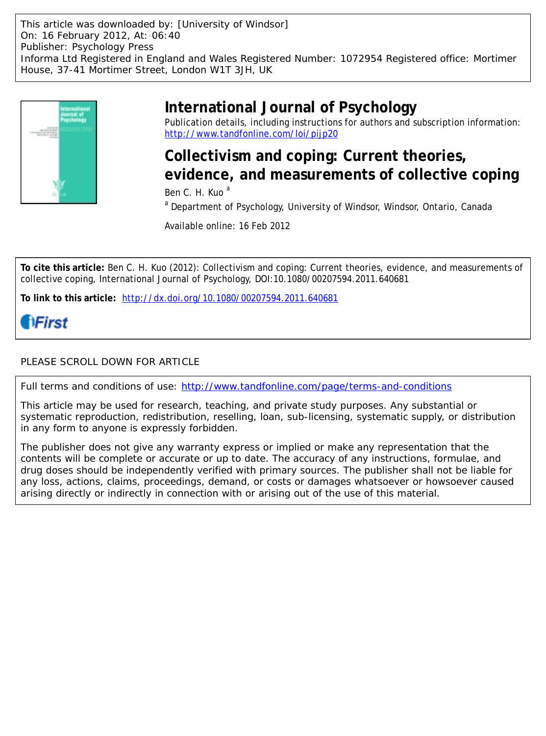This article was downloaded by: [University of Windsor] On: 16 February 2012, At: 06:40 Publisher: Psychology Press Informa Ltd Registered in England and Wales Registered Number: 1072954 Registered office: Mortimer House, 37-41 Mortimer Street, London W1T 3JH, UK



# **International Journal of Psychology**

Publication details, including instructions for authors and subscription information: <http://www.tandfonline.com/loi/pijp20>

**Collectivism and coping: Current theories, evidence, and measurements of collective coping**

Ben C. H. Kuo<sup>a</sup>

<sup>a</sup> Department of Psychology, University of Windsor, Windsor, Ontario, Canada

Available online: 16 Feb 2012

**To cite this article:** Ben C. H. Kuo (2012): Collectivism and coping: Current theories, evidence, and measurements of collective coping, International Journal of Psychology, DOI:10.1080/00207594.2011.640681

**To link to this article:** <http://dx.doi.org/10.1080/00207594.2011.640681>

# **HFirst**

# PLEASE SCROLL DOWN FOR ARTICLE

Full terms and conditions of use:<http://www.tandfonline.com/page/terms-and-conditions>

This article may be used for research, teaching, and private study purposes. Any substantial or systematic reproduction, redistribution, reselling, loan, sub-licensing, systematic supply, or distribution in any form to anyone is expressly forbidden.

The publisher does not give any warranty express or implied or make any representation that the contents will be complete or accurate or up to date. The accuracy of any instructions, formulae, and drug doses should be independently verified with primary sources. The publisher shall not be liable for any loss, actions, claims, proceedings, demand, or costs or damages whatsoever or howsoever caused arising directly or indirectly in connection with or arising out of the use of this material.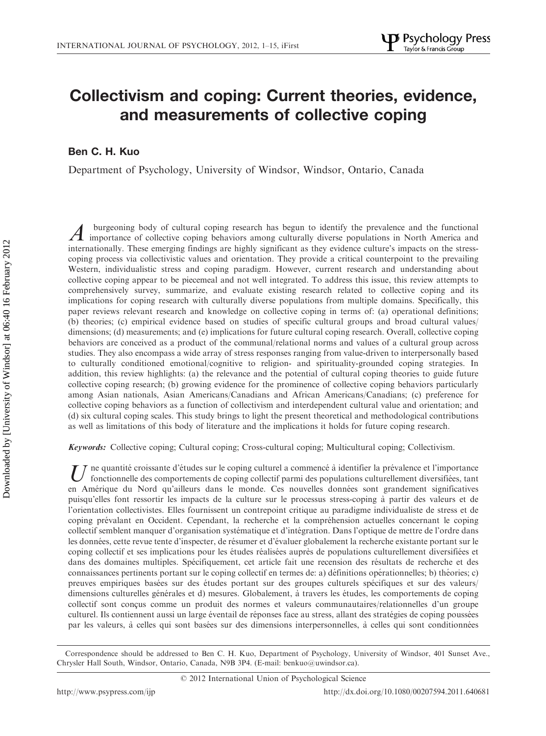# Collectivism and coping: Current theories, evidence, and measurements of collective coping

Ben C. H. Kuo

Department of Psychology, University of Windsor, Windsor, Ontario, Canada

A burgeoning body of cultural coping research has begun to identify the prevalence and the functional<br>importance of collective coping behaviors among culturally diverse populations in North America and internationally. These emerging findings are highly significant as they evidence culture's impacts on the stresscoping process via collectivistic values and orientation. They provide a critical counterpoint to the prevailing Western, individualistic stress and coping paradigm. However, current research and understanding about collective coping appear to be piecemeal and not well integrated. To address this issue, this review attempts to comprehensively survey, summarize, and evaluate existing research related to collective coping and its implications for coping research with culturally diverse populations from multiple domains. Specifically, this paper reviews relevant research and knowledge on collective coping in terms of: (a) operational definitions; (b) theories; (c) empirical evidence based on studies of specific cultural groups and broad cultural values/ dimensions; (d) measurements; and (e) implications for future cultural coping research. Overall, collective coping behaviors are conceived as a product of the communal/relational norms and values of a cultural group across studies. They also encompass a wide array of stress responses ranging from value-driven to interpersonally based to culturally conditioned emotional/cognitive to religion- and spirituality-grounded coping strategies. In addition, this review highlights: (a) the relevance and the potential of cultural coping theories to guide future collective coping research; (b) growing evidence for the prominence of collective coping behaviors particularly among Asian nationals, Asian Americans/Canadians and African Americans/Canadians; (c) preference for collective coping behaviors as a function of collectivism and interdependent cultural value and orientation; and (d) six cultural coping scales. This study brings to light the present theoretical and methodological contributions as well as limitations of this body of literature and the implications it holds for future coping research.

Keywords: Collective coping; Cultural coping; Cross-cultural coping; Multicultural coping; Collectivism.

ne quantité croissante d'études sur le coping culturel a commencé à identifier la prévalence et l'importance fonctionnelle des comportements de coping collectif parmi des populations culturellement diversifiées, tant en Amérique du Nord qu'ailleurs dans le monde. Ces nouvelles données sont grandement significatives puisqu'elles font ressortir les impacts de la culture sur le processus stress-coping a` partir des valeurs et de l'orientation collectivistes. Elles fournissent un contrepoint critique au paradigme individualiste de stress et de coping prévalant en Occident. Cependant, la recherche et la compréhension actuelles concernant le coping collectif semblent manquer d'organisation systématique et d'intégration. Dans l'optique de mettre de l'ordre dans les données, cette revue tente d'inspecter, de résumer et d'évaluer globalement la recherche existante portant sur le coping collectif et ses implications pour les études réalisées auprès de populations culturellement diversifiées et dans des domaines multiples. Spécifiquement, cet article fait une recension des résultats de recherche et des connaissances pertinents portant sur le coping collectif en termes de: a) définitions opérationnelles; b) théories; c) preuves empiriques basées sur des études portant sur des groupes culturels spécifiques et sur des valeurs/ dimensions culturelles générales et d) mesures. Globalement, à travers les études, les comportements de coping collectif sont conçus comme un produit des normes et valeurs communautaires/relationnelles d'un groupe culturel. Ils contiennent aussi un large éventail de réponses face au stress, allant des stratégies de coping poussées par les valeurs, à celles qui sont basées sur des dimensions interpersonnelles, à celles qui sont conditionnées

Correspondence should be addressed to Ben C. H. Kuo, Department of Psychology, University of Windsor, 401 Sunset Ave., Chrysler Hall South, Windsor, Ontario, Canada, N9B 3P4. (E-mail: benkuo@uwindsor.ca).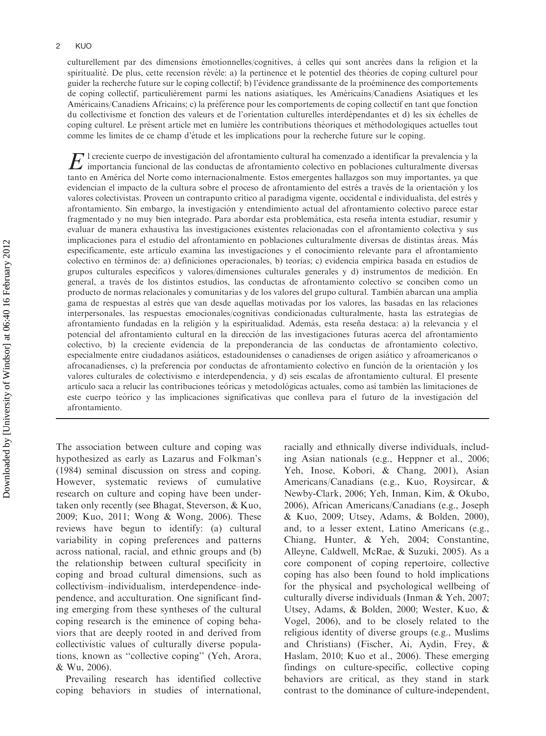culturellement par des dimensions émotionnelles/cognitives, à celles qui sont ancrées dans la religion et la spiritualité. De plus, cette recension révèle: a) la pertinence et le potentiel des théories de coping culturel pour guider la recherche future sur le coping collectif; b) l'évidence grandissante de la proéminence des comportements de coping collectif, particulièrement parmi les nations asiatiques, les Américains/Canadiens Asiatiques et les Américains/Canadiens Africains; c) la préférence pour les comportements de coping collectif en tant que fonction du collectivisme et fonction des valeurs et de l'orientation culturelles interdépendantes et d) les six échelles de coping culturel. Le présent article met en lumière les contributions théoriques et méthodologiques actuelles tout comme les limites de ce champ d'e´tude et les implications pour la recherche future sur le coping.

E i creciente cuerpo de investigación del afrontamiento cultural ha comenzado a identificar la prevalencia y la<br>importancia funcional de las conductas de afrontamiento colectivo en poblaciones culturalmente diversas tanto en América del Norte como internacionalmente. Estos emergentes hallazgos son muy importantes, ya que evidencian el impacto de la cultura sobre el proceso de afrontamiento del estrés a través de la orientación y los valores colectivistas. Proveen un contrapunto crítico al paradigma vigente, occidental e individualista, del estrés y afrontamiento. Sin embargo, la investigación y entendimiento actual del afrontamiento colectivo parece estar fragmentado y no muy bien integrado. Para abordar esta problemática, esta reseña intenta estudiar, resumir y evaluar de manera exhaustiva las investigaciones existentes relacionadas con el afrontamiento colectiva y sus implicaciones para el estudio del afrontamiento en poblaciones culturalmente diversas de distintas áreas. Más específicamente, este artículo examina las investigaciones y el conocimiento relevante para el afrontamiento colectivo en términos de: a) definiciones operacionales, b) teorías; c) evidencia empírica basada en estudios de grupos culturales específicos y valores/dimensiones culturales generales y d) instrumentos de medición. En general, a través de los distintos estudios, las conductas de afrontamiento colectivo se conciben como un producto de normas relacionales y comunitarias y de los valores del grupo cultural. También abarcan una amplia gama de respuestas al estre´s que van desde aquellas motivadas por los valores, las basadas en las relaciones interpersonales, las respuestas emocionales/cognitivas condicionadas culturalmente, hasta las estrategias de afrontamiento fundadas en la religión y la espiritualidad. Además, esta reseña destaca: a) la relevancia y el potencial del afrontamiento cultural en la dirección de las investigaciones futuras acerca del afrontamiento colectivo, b) la creciente evidencia de la preponderancia de las conductas de afrontamiento colectivo, especialmente entre ciudadanos asiáticos, estadounidenses o canadienses de origen asiático y afroamericanos o afrocanadienses, c) la preferencia por conductas de afrontamiento colectivo en función de la orientación y los valores culturales de colectivismo e interdependencia, y d) seis escalas de afrontamiento cultural. El presente artículo saca a relucir las contribuciones teóricas y metodológicas actuales, como así también las limitaciones de este cuerpo teórico y las implicaciones significativas que conlleva para el futuro de la investigación del afrontamiento.

The association between culture and coping was hypothesized as early as Lazarus and Folkman's (1984) seminal discussion on stress and coping. However, systematic reviews of cumulative research on culture and coping have been undertaken only recently (see Bhagat, Steverson, & Kuo, 2009; Kuo, 2011; Wong & Wong, 2006). These reviews have begun to identify: (a) cultural variability in coping preferences and patterns across national, racial, and ethnic groups and (b) the relationship between cultural specificity in coping and broad cultural dimensions, such as collectivism–individualism, interdependence–independence, and acculturation. One significant finding emerging from these syntheses of the cultural coping research is the eminence of coping behaviors that are deeply rooted in and derived from collectivistic values of culturally diverse populations, known as ''collective coping'' (Yeh, Arora, & Wu, 2006).

Prevailing research has identified collective coping behaviors in studies of international, racially and ethnically diverse individuals, including Asian nationals (e.g., Heppner et al., 2006; Yeh, Inose, Kobori, & Chang, 2001), Asian Americans/Canadians (e.g., Kuo, Roysircar, & Newby-Clark, 2006; Yeh, Inman, Kim, & Okubo, 2006), African Americans/Canadians (e.g., Joseph & Kuo, 2009; Utsey, Adams, & Bolden, 2000), and, to a lesser extent, Latino Americans (e.g., Chiang, Hunter, & Yeh, 2004; Constantine, Alleyne, Caldwell, McRae, & Suzuki, 2005). As a core component of coping repertoire, collective coping has also been found to hold implications for the physical and psychological wellbeing of culturally diverse individuals (Inman & Yeh, 2007; Utsey, Adams, & Bolden, 2000; Wester, Kuo, & Vogel, 2006), and to be closely related to the religious identity of diverse groups (e.g., Muslims and Christians) (Fischer, Ai, Aydin, Frey, & Haslam, 2010; Kuo et al., 2006). These emerging findings on culture-specific, collective coping behaviors are critical, as they stand in stark contrast to the dominance of culture-independent,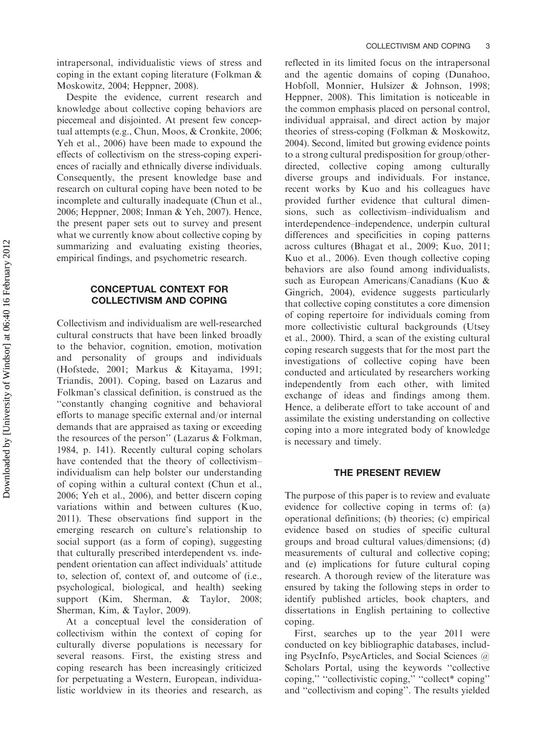intrapersonal, individualistic views of stress and coping in the extant coping literature (Folkman & Moskowitz, 2004; Heppner, 2008).

Despite the evidence, current research and knowledge about collective coping behaviors are piecemeal and disjointed. At present few conceptual attempts (e.g., Chun, Moos, & Cronkite, 2006; Yeh et al., 2006) have been made to expound the effects of collectivism on the stress-coping experiences of racially and ethnically diverse individuals. Consequently, the present knowledge base and research on cultural coping have been noted to be incomplete and culturally inadequate (Chun et al., 2006; Heppner, 2008; Inman & Yeh, 2007). Hence, the present paper sets out to survey and present what we currently know about collective coping by summarizing and evaluating existing theories, empirical findings, and psychometric research.

# CONCEPTUAL CONTEXT FOR COLLECTIVISM AND COPING

Collectivism and individualism are well-researched cultural constructs that have been linked broadly to the behavior, cognition, emotion, motivation and personality of groups and individuals (Hofstede, 2001; Markus & Kitayama, 1991; Triandis, 2001). Coping, based on Lazarus and Folkman's classical definition, is construed as the ''constantly changing cognitive and behavioral efforts to manage specific external and/or internal demands that are appraised as taxing or exceeding the resources of the person'' (Lazarus & Folkman, 1984, p. 141). Recently cultural coping scholars have contended that the theory of collectivism– individualism can help bolster our understanding of coping within a cultural context (Chun et al., 2006; Yeh et al., 2006), and better discern coping variations within and between cultures (Kuo, 2011). These observations find support in the emerging research on culture's relationship to social support (as a form of coping), suggesting that culturally prescribed interdependent vs. independent orientation can affect individuals' attitude to, selection of, context of, and outcome of (i.e., psychological, biological, and health) seeking support (Kim, Sherman, & Taylor, 2008; Sherman, Kim, & Taylor, 2009).

At a conceptual level the consideration of collectivism within the context of coping for culturally diverse populations is necessary for several reasons. First, the existing stress and coping research has been increasingly criticized for perpetuating a Western, European, individualistic worldview in its theories and research, as

reflected in its limited focus on the intrapersonal and the agentic domains of coping (Dunahoo, Hobfoll, Monnier, Hulsizer & Johnson, 1998; Heppner, 2008). This limitation is noticeable in the common emphasis placed on personal control, individual appraisal, and direct action by major theories of stress-coping (Folkman & Moskowitz, 2004). Second, limited but growing evidence points to a strong cultural predisposition for group/otherdirected, collective coping among culturally diverse groups and individuals. For instance, recent works by Kuo and his colleagues have provided further evidence that cultural dimensions, such as collectivism–individualism and interdependence–independence, underpin cultural differences and specificities in coping patterns across cultures (Bhagat et al., 2009; Kuo, 2011; Kuo et al., 2006). Even though collective coping behaviors are also found among individualists, such as European Americans/Canadians (Kuo & Gingrich, 2004), evidence suggests particularly that collective coping constitutes a core dimension of coping repertoire for individuals coming from more collectivistic cultural backgrounds (Utsey et al., 2000). Third, a scan of the existing cultural coping research suggests that for the most part the investigations of collective coping have been conducted and articulated by researchers working independently from each other, with limited exchange of ideas and findings among them. Hence, a deliberate effort to take account of and assimilate the existing understanding on collective coping into a more integrated body of knowledge is necessary and timely.

#### THE PRESENT REVIEW

The purpose of this paper is to review and evaluate evidence for collective coping in terms of: (a) operational definitions; (b) theories; (c) empirical evidence based on studies of specific cultural groups and broad cultural values/dimensions; (d) measurements of cultural and collective coping; and (e) implications for future cultural coping research. A thorough review of the literature was ensured by taking the following steps in order to identify published articles, book chapters, and dissertations in English pertaining to collective coping.

First, searches up to the year 2011 were conducted on key bibliographic databases, including PsycInfo, PsycArticles, and Social Sciences @ Scholars Portal, using the keywords ''collective coping,'' ''collectivistic coping,'' ''collect\* coping'' and ''collectivism and coping''. The results yielded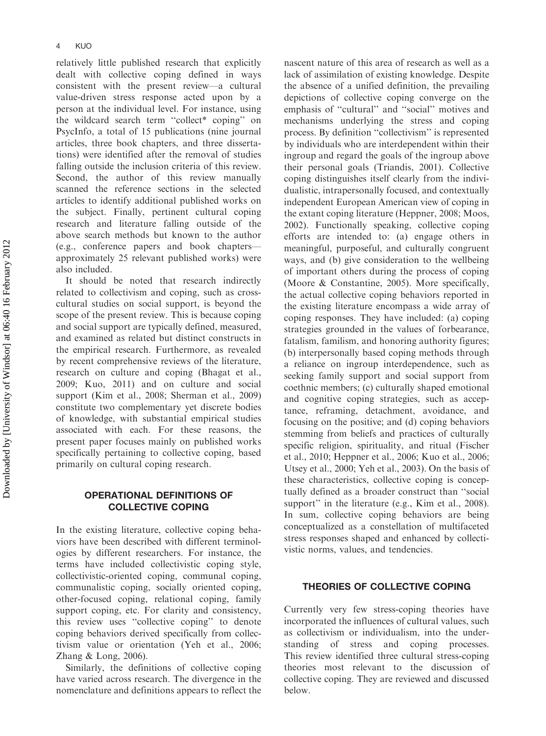relatively little published research that explicitly dealt with collective coping defined in ways consistent with the present review—a cultural value-driven stress response acted upon by a person at the individual level. For instance, using the wildcard search term ''collect\* coping'' on PsycInfo, a total of 15 publications (nine journal articles, three book chapters, and three dissertations) were identified after the removal of studies falling outside the inclusion criteria of this review. Second, the author of this review manually scanned the reference sections in the selected articles to identify additional published works on the subject. Finally, pertinent cultural coping research and literature falling outside of the above search methods but known to the author (e.g., conference papers and book chapters approximately 25 relevant published works) were also included.

It should be noted that research indirectly related to collectivism and coping, such as crosscultural studies on social support, is beyond the scope of the present review. This is because coping and social support are typically defined, measured, and examined as related but distinct constructs in the empirical research. Furthermore, as revealed by recent comprehensive reviews of the literature, research on culture and coping (Bhagat et al., 2009; Kuo, 2011) and on culture and social support (Kim et al., 2008; Sherman et al., 2009) constitute two complementary yet discrete bodies of knowledge, with substantial empirical studies associated with each. For these reasons, the present paper focuses mainly on published works specifically pertaining to collective coping, based primarily on cultural coping research.

### OPERATIONAL DEFINITIONS OF COLLECTIVE COPING

In the existing literature, collective coping behaviors have been described with different terminologies by different researchers. For instance, the terms have included collectivistic coping style, collectivistic-oriented coping, communal coping, communalistic coping, socially oriented coping, other-focused coping, relational coping, family support coping, etc. For clarity and consistency, this review uses ''collective coping'' to denote coping behaviors derived specifically from collectivism value or orientation (Yeh et al., 2006; Zhang & Long, 2006).

Similarly, the definitions of collective coping have varied across research. The divergence in the nomenclature and definitions appears to reflect the nascent nature of this area of research as well as a lack of assimilation of existing knowledge. Despite the absence of a unified definition, the prevailing depictions of collective coping converge on the emphasis of ''cultural'' and ''social'' motives and mechanisms underlying the stress and coping process. By definition ''collectivism'' is represented by individuals who are interdependent within their ingroup and regard the goals of the ingroup above their personal goals (Triandis, 2001). Collective coping distinguishes itself clearly from the individualistic, intrapersonally focused, and contextually independent European American view of coping in the extant coping literature (Heppner, 2008; Moos, 2002). Functionally speaking, collective coping efforts are intended to: (a) engage others in meaningful, purposeful, and culturally congruent ways, and (b) give consideration to the wellbeing of important others during the process of coping (Moore & Constantine, 2005). More specifically, the actual collective coping behaviors reported in the existing literature encompass a wide array of coping responses. They have included: (a) coping strategies grounded in the values of forbearance, fatalism, familism, and honoring authority figures; (b) interpersonally based coping methods through a reliance on ingroup interdependence, such as seeking family support and social support from coethnic members; (c) culturally shaped emotional and cognitive coping strategies, such as acceptance, reframing, detachment, avoidance, and focusing on the positive; and (d) coping behaviors stemming from beliefs and practices of culturally specific religion, spirituality, and ritual (Fischer et al., 2010; Heppner et al., 2006; Kuo et al., 2006; Utsey et al., 2000; Yeh et al., 2003). On the basis of these characteristics, collective coping is conceptually defined as a broader construct than ''social support" in the literature (e.g., Kim et al., 2008). In sum, collective coping behaviors are being conceptualized as a constellation of multifaceted stress responses shaped and enhanced by collectivistic norms, values, and tendencies.

#### THEORIES OF COLLECTIVE COPING

Currently very few stress-coping theories have incorporated the influences of cultural values, such as collectivism or individualism, into the understanding of stress and coping processes. This review identified three cultural stress-coping theories most relevant to the discussion of collective coping. They are reviewed and discussed below.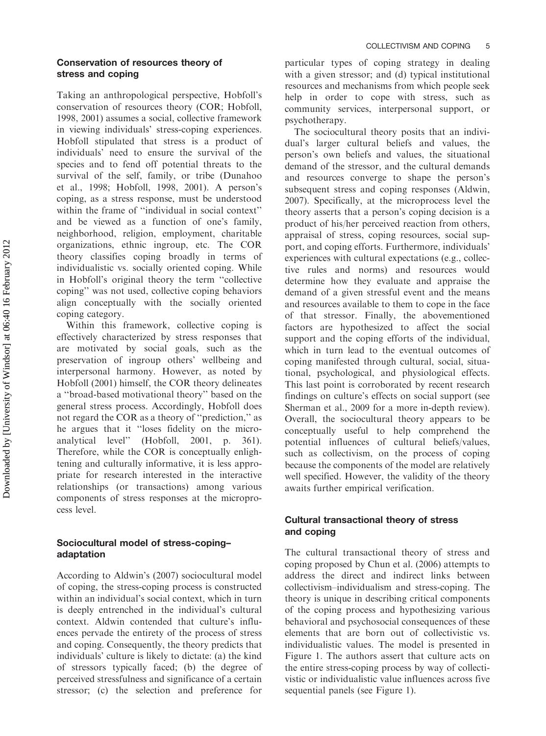#### Conservation of resources theory of stress and coping

Taking an anthropological perspective, Hobfoll's conservation of resources theory (COR; Hobfoll, 1998, 2001) assumes a social, collective framework in viewing individuals' stress-coping experiences. Hobfoll stipulated that stress is a product of individuals' need to ensure the survival of the species and to fend off potential threats to the survival of the self, family, or tribe (Dunahoo et al., 1998; Hobfoll, 1998, 2001). A person's coping, as a stress response, must be understood within the frame of ''individual in social context'' and be viewed as a function of one's family, neighborhood, religion, employment, charitable organizations, ethnic ingroup, etc. The COR theory classifies coping broadly in terms of individualistic vs. socially oriented coping. While in Hobfoll's original theory the term ''collective coping'' was not used, collective coping behaviors align conceptually with the socially oriented coping category.

Within this framework, collective coping is effectively characterized by stress responses that are motivated by social goals, such as the preservation of ingroup others' wellbeing and interpersonal harmony. However, as noted by Hobfoll (2001) himself, the COR theory delineates a ''broad-based motivational theory'' based on the general stress process. Accordingly, Hobfoll does not regard the COR as a theory of ''prediction,'' as he argues that it ''loses fidelity on the microanalytical level'' (Hobfoll, 2001, p. 361). Therefore, while the COR is conceptually enlightening and culturally informative, it is less appropriate for research interested in the interactive relationships (or transactions) among various components of stress responses at the microprocess level.

# Sociocultural model of stress-coping– adaptation

According to Aldwin's (2007) sociocultural model of coping, the stress-coping process is constructed within an individual's social context, which in turn is deeply entrenched in the individual's cultural context. Aldwin contended that culture's influences pervade the entirety of the process of stress and coping. Consequently, the theory predicts that individuals' culture is likely to dictate: (a) the kind of stressors typically faced; (b) the degree of perceived stressfulness and significance of a certain stressor; (c) the selection and preference for

particular types of coping strategy in dealing with a given stressor; and (d) typical institutional resources and mechanisms from which people seek help in order to cope with stress, such as community services, interpersonal support, or psychotherapy.

The sociocultural theory posits that an individual's larger cultural beliefs and values, the person's own beliefs and values, the situational demand of the stressor, and the cultural demands and resources converge to shape the person's subsequent stress and coping responses (Aldwin, 2007). Specifically, at the microprocess level the theory asserts that a person's coping decision is a product of his/her perceived reaction from others, appraisal of stress, coping resources, social support, and coping efforts. Furthermore, individuals' experiences with cultural expectations (e.g., collective rules and norms) and resources would determine how they evaluate and appraise the demand of a given stressful event and the means and resources available to them to cope in the face of that stressor. Finally, the abovementioned factors are hypothesized to affect the social support and the coping efforts of the individual, which in turn lead to the eventual outcomes of coping manifested through cultural, social, situational, psychological, and physiological effects. This last point is corroborated by recent research findings on culture's effects on social support (see Sherman et al., 2009 for a more in-depth review). Overall, the sociocultural theory appears to be conceptually useful to help comprehend the potential influences of cultural beliefs/values, such as collectivism, on the process of coping because the components of the model are relatively well specified. However, the validity of the theory awaits further empirical verification.

# Cultural transactional theory of stress and coping

The cultural transactional theory of stress and coping proposed by Chun et al. (2006) attempts to address the direct and indirect links between collectivism–individualism and stress-coping. The theory is unique in describing critical components of the coping process and hypothesizing various behavioral and psychosocial consequences of these elements that are born out of collectivistic vs. individualistic values. The model is presented in Figure 1. The authors assert that culture acts on the entire stress-coping process by way of collectivistic or individualistic value influences across five sequential panels (see Figure 1).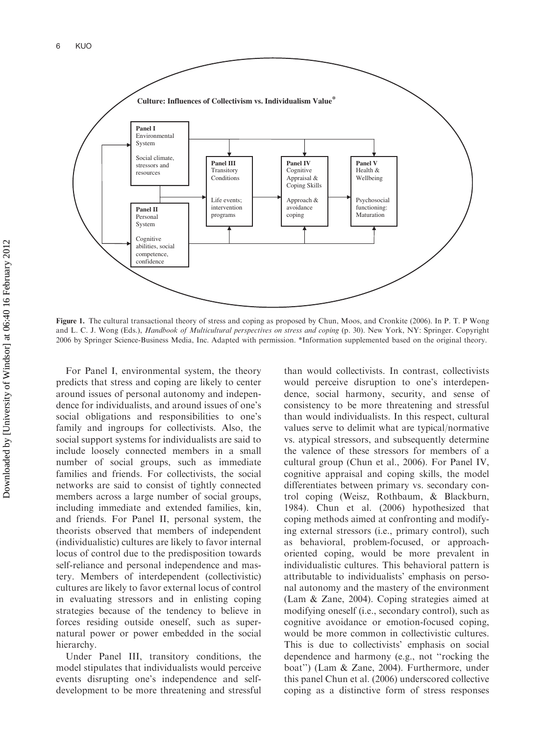

Figure 1. The cultural transactional theory of stress and coping as proposed by Chun, Moos, and Cronkite (2006). In P. T. P Wong and L. C. J. Wong (Eds.), Handbook of Multicultural perspectives on stress and coping (p. 30). New York, NY: Springer. Copyright 2006 by Springer Science-Business Media, Inc. Adapted with permission. \*Information supplemented based on the original theory.

For Panel I, environmental system, the theory predicts that stress and coping are likely to center around issues of personal autonomy and independence for individualists, and around issues of one's social obligations and responsibilities to one's family and ingroups for collectivists. Also, the social support systems for individualists are said to include loosely connected members in a small number of social groups, such as immediate families and friends. For collectivists, the social networks are said to consist of tightly connected members across a large number of social groups, including immediate and extended families, kin, and friends. For Panel II, personal system, the theorists observed that members of independent (individualistic) cultures are likely to favor internal locus of control due to the predisposition towards self-reliance and personal independence and mastery. Members of interdependent (collectivistic) cultures are likely to favor external locus of control in evaluating stressors and in enlisting coping strategies because of the tendency to believe in forces residing outside oneself, such as supernatural power or power embedded in the social hierarchy.

Under Panel III, transitory conditions, the model stipulates that individualists would perceive events disrupting one's independence and selfdevelopment to be more threatening and stressful than would collectivists. In contrast, collectivists would perceive disruption to one's interdependence, social harmony, security, and sense of consistency to be more threatening and stressful than would individualists. In this respect, cultural values serve to delimit what are typical/normative vs. atypical stressors, and subsequently determine the valence of these stressors for members of a cultural group (Chun et al., 2006). For Panel IV, cognitive appraisal and coping skills, the model differentiates between primary vs. secondary control coping (Weisz, Rothbaum, & Blackburn, 1984). Chun et al. (2006) hypothesized that coping methods aimed at confronting and modifying external stressors (i.e., primary control), such as behavioral, problem-focused, or approachoriented coping, would be more prevalent in individualistic cultures. This behavioral pattern is attributable to individualists' emphasis on personal autonomy and the mastery of the environment (Lam & Zane, 2004). Coping strategies aimed at modifying oneself (i.e., secondary control), such as cognitive avoidance or emotion-focused coping, would be more common in collectivistic cultures. This is due to collectivists' emphasis on social dependence and harmony (e.g., not ''rocking the boat'') (Lam & Zane, 2004). Furthermore, under this panel Chun et al. (2006) underscored collective coping as a distinctive form of stress responses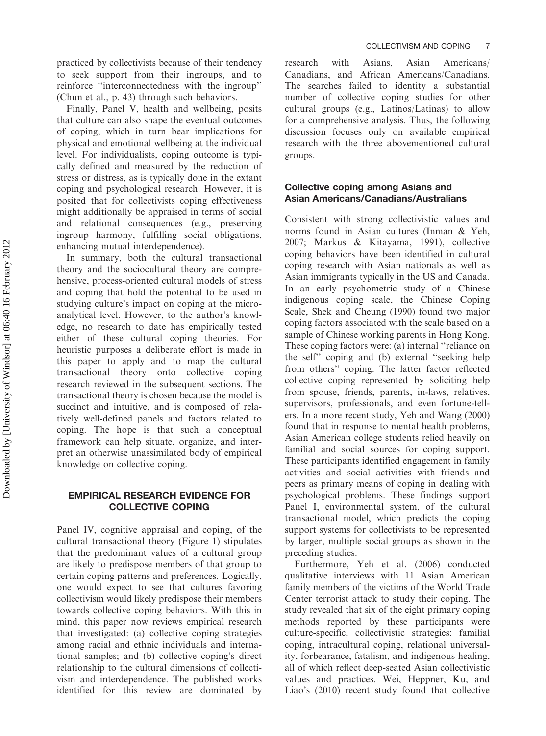practiced by collectivists because of their tendency to seek support from their ingroups, and to reinforce ''interconnectedness with the ingroup'' (Chun et al., p. 43) through such behaviors.

Finally, Panel V, health and wellbeing, posits that culture can also shape the eventual outcomes of coping, which in turn bear implications for physical and emotional wellbeing at the individual level. For individualists, coping outcome is typically defined and measured by the reduction of stress or distress, as is typically done in the extant coping and psychological research. However, it is posited that for collectivists coping effectiveness might additionally be appraised in terms of social and relational consequences (e.g., preserving ingroup harmony, fulfilling social obligations, enhancing mutual interdependence).

In summary, both the cultural transactional theory and the sociocultural theory are comprehensive, process-oriented cultural models of stress and coping that hold the potential to be used in studying culture's impact on coping at the microanalytical level. However, to the author's knowledge, no research to date has empirically tested either of these cultural coping theories. For heuristic purposes a deliberate effort is made in this paper to apply and to map the cultural transactional theory onto collective coping research reviewed in the subsequent sections. The transactional theory is chosen because the model is succinct and intuitive, and is composed of relatively well-defined panels and factors related to coping. The hope is that such a conceptual framework can help situate, organize, and interpret an otherwise unassimilated body of empirical knowledge on collective coping.

#### EMPIRICAL RESEARCH EVIDENCE FOR COLLECTIVE COPING

Panel IV, cognitive appraisal and coping, of the cultural transactional theory (Figure 1) stipulates that the predominant values of a cultural group are likely to predispose members of that group to certain coping patterns and preferences. Logically, one would expect to see that cultures favoring collectivism would likely predispose their members towards collective coping behaviors. With this in mind, this paper now reviews empirical research that investigated: (a) collective coping strategies among racial and ethnic individuals and international samples; and (b) collective coping's direct relationship to the cultural dimensions of collectivism and interdependence. The published works identified for this review are dominated by

research with Asians, Asian Americans/ Canadians, and African Americans/Canadians. The searches failed to identity a substantial number of collective coping studies for other cultural groups (e.g., Latinos/Latinas) to allow for a comprehensive analysis. Thus, the following discussion focuses only on available empirical research with the three abovementioned cultural groups.

# Collective coping among Asians and Asian Americans/Canadians/Australians

Consistent with strong collectivistic values and norms found in Asian cultures (Inman & Yeh, 2007; Markus & Kitayama, 1991), collective coping behaviors have been identified in cultural coping research with Asian nationals as well as Asian immigrants typically in the US and Canada. In an early psychometric study of a Chinese indigenous coping scale, the Chinese Coping Scale, Shek and Cheung (1990) found two major coping factors associated with the scale based on a sample of Chinese working parents in Hong Kong. These coping factors were: (a) internal ''reliance on the self'' coping and (b) external ''seeking help from others'' coping. The latter factor reflected collective coping represented by soliciting help from spouse, friends, parents, in-laws, relatives, supervisors, professionals, and even fortune-tellers. In a more recent study, Yeh and Wang (2000) found that in response to mental health problems, Asian American college students relied heavily on familial and social sources for coping support. These participants identified engagement in family activities and social activities with friends and peers as primary means of coping in dealing with psychological problems. These findings support Panel I, environmental system, of the cultural transactional model, which predicts the coping support systems for collectivists to be represented by larger, multiple social groups as shown in the preceding studies.

Furthermore, Yeh et al. (2006) conducted qualitative interviews with 11 Asian American family members of the victims of the World Trade Center terrorist attack to study their coping. The study revealed that six of the eight primary coping methods reported by these participants were culture-specific, collectivistic strategies: familial coping, intracultural coping, relational universality, forbearance, fatalism, and indigenous healing, all of which reflect deep-seated Asian collectivistic values and practices. Wei, Heppner, Ku, and Liao's (2010) recent study found that collective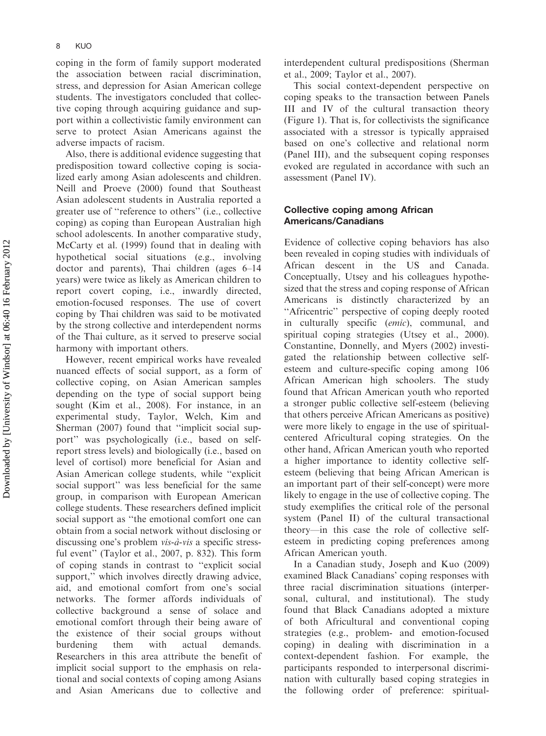coping in the form of family support moderated the association between racial discrimination, stress, and depression for Asian American college students. The investigators concluded that collective coping through acquiring guidance and support within a collectivistic family environment can serve to protect Asian Americans against the adverse impacts of racism.

Also, there is additional evidence suggesting that predisposition toward collective coping is socialized early among Asian adolescents and children. Neill and Proeve (2000) found that Southeast Asian adolescent students in Australia reported a greater use of ''reference to others'' (i.e., collective coping) as coping than European Australian high school adolescents. In another comparative study, McCarty et al. (1999) found that in dealing with hypothetical social situations (e.g., involving doctor and parents), Thai children (ages 6–14 years) were twice as likely as American children to report covert coping, i.e., inwardly directed, emotion-focused responses. The use of covert coping by Thai children was said to be motivated by the strong collective and interdependent norms of the Thai culture, as it served to preserve social harmony with important others.

However, recent empirical works have revealed nuanced effects of social support, as a form of collective coping, on Asian American samples depending on the type of social support being sought (Kim et al., 2008). For instance, in an experimental study, Taylor, Welch, Kim and Sherman (2007) found that ''implicit social support'' was psychologically (i.e., based on selfreport stress levels) and biologically (i.e., based on level of cortisol) more beneficial for Asian and Asian American college students, while ''explicit social support'' was less beneficial for the same group, in comparison with European American college students. These researchers defined implicit social support as ''the emotional comfort one can obtain from a social network without disclosing or discussing one's problem  $vis-\hat{a}-vis$  a specific stressful event'' (Taylor et al., 2007, p. 832). This form of coping stands in contrast to ''explicit social support," which involves directly drawing advice, aid, and emotional comfort from one's social networks. The former affords individuals of collective background a sense of solace and emotional comfort through their being aware of the existence of their social groups without burdening them with actual demands. Researchers in this area attribute the benefit of implicit social support to the emphasis on relational and social contexts of coping among Asians and Asian Americans due to collective and

interdependent cultural predispositions (Sherman et al., 2009; Taylor et al., 2007).

This social context-dependent perspective on coping speaks to the transaction between Panels III and IV of the cultural transaction theory (Figure 1). That is, for collectivists the significance associated with a stressor is typically appraised based on one's collective and relational norm (Panel III), and the subsequent coping responses evoked are regulated in accordance with such an assessment (Panel IV).

# Collective coping among African Americans/Canadians

Evidence of collective coping behaviors has also been revealed in coping studies with individuals of African descent in the US and Canada. Conceptually, Utsey and his colleagues hypothesized that the stress and coping response of African Americans is distinctly characterized by an "Africentric" perspective of coping deeply rooted in culturally specific (emic), communal, and spiritual coping strategies (Utsey et al., 2000). Constantine, Donnelly, and Myers (2002) investigated the relationship between collective selfesteem and culture-specific coping among 106 African American high schoolers. The study found that African American youth who reported a stronger public collective self-esteem (believing that others perceive African Americans as positive) were more likely to engage in the use of spiritualcentered Africultural coping strategies. On the other hand, African American youth who reported a higher importance to identity collective selfesteem (believing that being African American is an important part of their self-concept) were more likely to engage in the use of collective coping. The study exemplifies the critical role of the personal system (Panel II) of the cultural transactional theory—in this case the role of collective selfesteem in predicting coping preferences among African American youth.

In a Canadian study, Joseph and Kuo (2009) examined Black Canadians' coping responses with three racial discrimination situations (interpersonal, cultural, and institutional). The study found that Black Canadians adopted a mixture of both Africultural and conventional coping strategies (e.g., problem- and emotion-focused coping) in dealing with discrimination in a context-dependent fashion. For example, the participants responded to interpersonal discrimination with culturally based coping strategies in the following order of preference: spiritual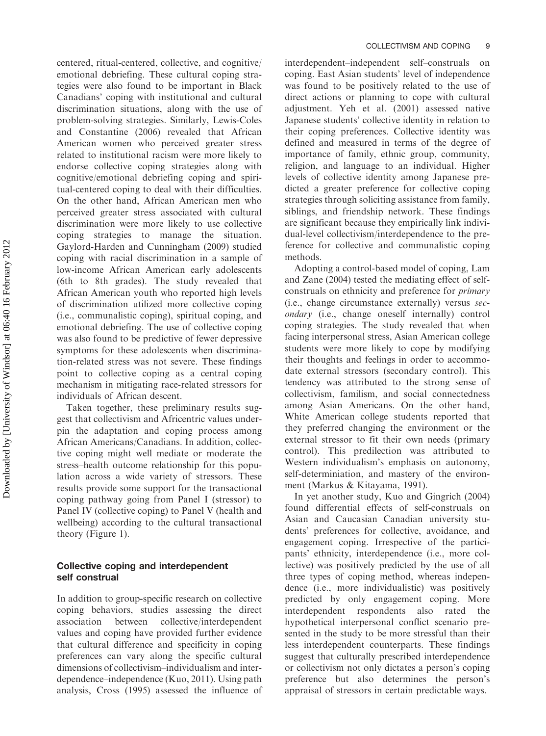centered, ritual-centered, collective, and cognitive/ emotional debriefing. These cultural coping strategies were also found to be important in Black Canadians' coping with institutional and cultural discrimination situations, along with the use of problem-solving strategies. Similarly, Lewis-Coles and Constantine (2006) revealed that African American women who perceived greater stress related to institutional racism were more likely to endorse collective coping strategies along with cognitive/emotional debriefing coping and spiritual-centered coping to deal with their difficulties. On the other hand, African American men who perceived greater stress associated with cultural discrimination were more likely to use collective coping strategies to manage the situation. Gaylord-Harden and Cunningham (2009) studied coping with racial discrimination in a sample of low-income African American early adolescents (6th to 8th grades). The study revealed that African American youth who reported high levels of discrimination utilized more collective coping (i.e., communalistic coping), spiritual coping, and emotional debriefing. The use of collective coping was also found to be predictive of fewer depressive symptoms for these adolescents when discrimination-related stress was not severe. These findings point to collective coping as a central coping mechanism in mitigating race-related stressors for individuals of African descent.

Taken together, these preliminary results suggest that collectivism and Africentric values underpin the adaptation and coping process among African Americans/Canadians. In addition, collective coping might well mediate or moderate the stress–health outcome relationship for this population across a wide variety of stressors. These results provide some support for the transactional coping pathway going from Panel I (stressor) to Panel IV (collective coping) to Panel V (health and wellbeing) according to the cultural transactional theory (Figure 1).

# Collective coping and interdependent self construal

In addition to group-specific research on collective coping behaviors, studies assessing the direct association between collective/interdependent values and coping have provided further evidence that cultural difference and specificity in coping preferences can vary along the specific cultural dimensions of collectivism–individualism and interdependence–independence (Kuo, 2011). Using path analysis, Cross (1995) assessed the influence of interdependent–independent self–construals on coping. East Asian students' level of independence was found to be positively related to the use of direct actions or planning to cope with cultural adjustment. Yeh et al. (2001) assessed native Japanese students' collective identity in relation to their coping preferences. Collective identity was defined and measured in terms of the degree of importance of family, ethnic group, community, religion, and language to an individual. Higher levels of collective identity among Japanese predicted a greater preference for collective coping strategies through soliciting assistance from family, siblings, and friendship network. These findings are significant because they empirically link individual-level collectivism/interdependence to the preference for collective and communalistic coping methods.

Adopting a control-based model of coping, Lam and Zane (2004) tested the mediating effect of selfconstruals on ethnicity and preference for primary (i.e., change circumstance externally) versus secondary (i.e., change oneself internally) control coping strategies. The study revealed that when facing interpersonal stress, Asian American college students were more likely to cope by modifying their thoughts and feelings in order to accommodate external stressors (secondary control). This tendency was attributed to the strong sense of collectivism, familism, and social connectedness among Asian Americans. On the other hand, White American college students reported that they preferred changing the environment or the external stressor to fit their own needs (primary control). This predilection was attributed to Western individualism's emphasis on autonomy, self-determiniation, and mastery of the environment (Markus & Kitayama, 1991).

In yet another study, Kuo and Gingrich (2004) found differential effects of self-construals on Asian and Caucasian Canadian university students' preferences for collective, avoidance, and engagement coping. Irrespective of the participants' ethnicity, interdependence (i.e., more collective) was positively predicted by the use of all three types of coping method, whereas independence (i.e., more individualistic) was positively predicted by only engagement coping. More interdependent respondents also rated hypothetical interpersonal conflict scenario presented in the study to be more stressful than their less interdependent counterparts. These findings suggest that culturally prescribed interdependence or collectivism not only dictates a person's coping preference but also determines the person's appraisal of stressors in certain predictable ways.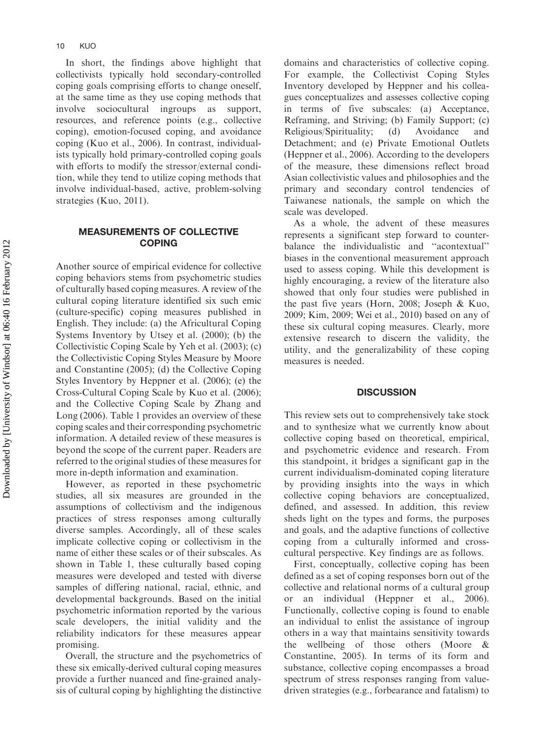In short, the findings above highlight that collectivists typically hold secondary-controlled coping goals comprising efforts to change oneself, at the same time as they use coping methods that involve sociocultural ingroups as support, resources, and reference points (e.g., collective coping), emotion-focused coping, and avoidance coping (Kuo et al., 2006). In contrast, individualists typically hold primary-controlled coping goals with efforts to modify the stressor/external condition, while they tend to utilize coping methods that involve individual-based, active, problem-solving strategies (Kuo, 2011).

### MEASUREMENTS OF COLLECTIVE COPING

Another source of empirical evidence for collective coping behaviors stems from psychometric studies of culturally based coping measures. A review of the cultural coping literature identified six such emic (culture-specific) coping measures published in English. They include: (a) the Africultural Coping Systems Inventory by Utsey et al. (2000); (b) the Collectivistic Coping Scale by Yeh et al. (2003); (c) the Collectivistic Coping Styles Measure by Moore and Constantine (2005); (d) the Collective Coping Styles Inventory by Heppner et al. (2006); (e) the Cross-Cultural Coping Scale by Kuo et al. (2006); and the Collective Coping Scale by Zhang and Long (2006). Table 1 provides an overview of these coping scales and their corresponding psychometric information. A detailed review of these measures is beyond the scope of the current paper. Readers are referred to the original studies of these measures for more in-depth information and examination.

However, as reported in these psychometric studies, all six measures are grounded in the assumptions of collectivism and the indigenous practices of stress responses among culturally diverse samples. Accordingly, all of these scales implicate collective coping or collectivism in the name of either these scales or of their subscales. As shown in Table 1, these culturally based coping measures were developed and tested with diverse samples of differing national, racial, ethnic, and developmental backgrounds. Based on the initial psychometric information reported by the various scale developers, the initial validity and the reliability indicators for these measures appear promising.

Overall, the structure and the psychometrics of these six emically-derived cultural coping measures provide a further nuanced and fine-grained analysis of cultural coping by highlighting the distinctive domains and characteristics of collective coping. For example, the Collectivist Coping Styles Inventory developed by Heppner and his colleagues conceptualizes and assesses collective coping in terms of five subscales: (a) Acceptance, Reframing, and Striving; (b) Family Support; (c) Religious/Spirituality; (d) Avoidance and Detachment; and (e) Private Emotional Outlets (Heppner et al., 2006). According to the developers of the measure, these dimensions reflect broad Asian collectivistic values and philosophies and the primary and secondary control tendencies of Taiwanese nationals, the sample on which the scale was developed.

As a whole, the advent of these measures represents a significant step forward to counterbalance the individualistic and ''acontextual'' biases in the conventional measurement approach used to assess coping. While this development is highly encouraging, a review of the literature also showed that only four studies were published in the past five years (Horn, 2008; Joseph & Kuo, 2009; Kim, 2009; Wei et al., 2010) based on any of these six cultural coping measures. Clearly, more extensive research to discern the validity, the utility, and the generalizability of these coping measures is needed.

#### **DISCUSSION**

This review sets out to comprehensively take stock and to synthesize what we currently know about collective coping based on theoretical, empirical, and psychometric evidence and research. From this standpoint, it bridges a significant gap in the current individualism-dominated coping literature by providing insights into the ways in which collective coping behaviors are conceptualized, defined, and assessed. In addition, this review sheds light on the types and forms, the purposes and goals, and the adaptive functions of collective coping from a culturally informed and crosscultural perspective. Key findings are as follows.

First, conceptually, collective coping has been defined as a set of coping responses born out of the collective and relational norms of a cultural group or an individual (Heppner et al., 2006). Functionally, collective coping is found to enable an individual to enlist the assistance of ingroup others in a way that maintains sensitivity towards the wellbeing of those others (Moore & Constantine, 2005). In terms of its form and substance, collective coping encompasses a broad spectrum of stress responses ranging from valuedriven strategies (e.g., forbearance and fatalism) to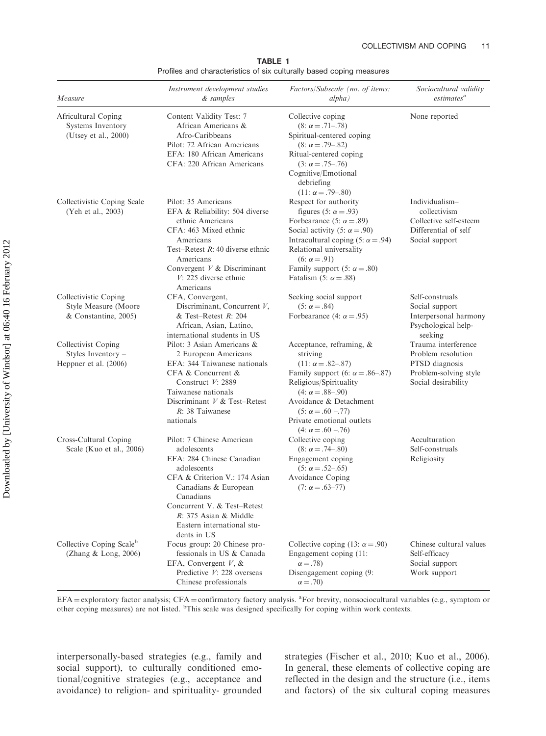| Measure                                                               | Instrument development studies<br>& samples                                                                                                                                                                                                                       | Factors/Subscale (no. of items:<br>alpha)                                                                                                                                                                                                                                                             | Sociocultural validity<br>estimates <sup>a</sup>                                                            |
|-----------------------------------------------------------------------|-------------------------------------------------------------------------------------------------------------------------------------------------------------------------------------------------------------------------------------------------------------------|-------------------------------------------------------------------------------------------------------------------------------------------------------------------------------------------------------------------------------------------------------------------------------------------------------|-------------------------------------------------------------------------------------------------------------|
| Africultural Coping<br>Systems Inventory<br>(Utsey et al., 2000)      | Content Validity Test: 7<br>African Americans &<br>Afro-Caribbeans<br>Pilot: 72 African Americans<br>EFA: 180 African Americans<br>CFA: 220 African Americans                                                                                                     | Collective coping<br>$(8: \alpha = .71-.78)$<br>Spiritual-centered coping<br>$(8: \alpha = .79-.82)$<br>Ritual-centered coping<br>$(3: \alpha = .75-.76)$<br>Cognitive/Emotional<br>debriefing<br>$(11: \alpha = .79-.80)$                                                                            | None reported                                                                                               |
| Collectivistic Coping Scale<br>(Yeh et al., 2003)                     | Pilot: 35 Americans<br>EFA & Reliability: 504 diverse<br>ethnic Americans<br>CFA: 463 Mixed ethnic<br>Americans<br>Test-Retest $R: 40$ diverse ethnic<br>Americans<br>Convergent $V$ & Discriminant<br>$V: 225$ diverse ethnic<br>Americans                       | Respect for authority<br>figures (5: $\alpha$ = .93)<br>Forbearance (5: $\alpha = .89$ )<br>Social activity (5: $\alpha$ = .90)<br>Intracultural coping (5: $\alpha$ = .94)<br>Relational universality<br>$(6: \alpha = .91)$<br>Family support (5: $\alpha = .80$ )<br>Fatalism (5: $\alpha = .88$ ) | Individualism-<br>collectivism<br>Collective self-esteem<br>Differential of self<br>Social support          |
| Collectivistic Coping<br>Style Measure (Moore<br>& Constantine, 2005) | CFA, Convergent,<br>Discriminant, Concurrent $V$ ,<br>& Test-Retest $R: 204$<br>African, Asian, Latino,<br>international students in US                                                                                                                           | Seeking social support<br>$(5: \alpha = .84)$<br>Forbearance (4: $\alpha = .95$ )                                                                                                                                                                                                                     | Self-construals<br>Social support<br>Interpersonal harmony<br>Psychological help-<br>seeking                |
| Collectivist Coping<br>Styles Inventory -<br>Heppner et al. (2006)    | Pilot: 3 Asian Americans &<br>2 European Americans<br>EFA: 344 Taiwanese nationals<br>CFA & Concurrent &<br>Construct $V: 2889$<br>Taiwanese nationals<br>Discriminant $V$ & Test-Retest<br>$R: 38$ Taiwanese<br>nationals                                        | Acceptance, reframing, &<br>striving<br>$(11: \alpha = .82-.87)$<br>Family support (6: $\alpha = .86-.87$ )<br>Religious/Spirituality<br>$(4: \alpha = .88 - .90)$<br>Avoidance & Detachment<br>$(5: \alpha = .60 - .77)$<br>Private emotional outlets<br>$(4: \alpha = .60 - .76)$                   | Trauma interference<br>Problem resolution<br>PTSD diagnosis<br>Problem-solving style<br>Social desirability |
| Cross-Cultural Coping<br>Scale (Kuo et al., 2006)                     | Pilot: 7 Chinese American<br>adolescents<br>EFA: 284 Chinese Canadian<br>adolescents<br>CFA & Criterion V.: 174 Asian<br>Canadians & European<br>Canadians<br>Concurrent V. & Test-Retest<br>$R: 375$ Asian & Middle<br>Eastern international stu-<br>dents in US | Collective coping<br>$(8: \alpha = .74 - .80)$<br>Engagement coping<br>$(5: \alpha = .52 - .65)$<br>Avoidance Coping<br>$(7: \alpha = .63 - 77)$                                                                                                                                                      | Acculturation<br>Self-construals<br>Religiosity                                                             |
| Collective Coping Scale <sup>b</sup><br>(Zhang $&$ Long, 2006)        | Focus group: 20 Chinese pro-<br>fessionals in US & Canada<br>EFA, Convergent $V$ , &<br>Predictive V: 228 overseas<br>Chinese professionals                                                                                                                       | Collective coping (13: $\alpha = .90$ )<br>Engagement coping (11:<br>$\alpha = .78$<br>Disengagement coping (9:<br>$\alpha = .70$                                                                                                                                                                     | Chinese cultural values<br>Self-efficacy<br>Social support<br>Work support                                  |

TABLE 1 Profiles and characteristics of six culturally based coping measures

EFA = exploratory factor analysis; CFA = confirmatory factory analysis. <sup>a</sup>For brevity, nonsociocultural variables (e.g., symptom or other coping measures) are not listed. <sup>b</sup>This scale was designed specifically for coping within work contexts.

interpersonally-based strategies (e.g., family and social support), to culturally conditioned emotional/cognitive strategies (e.g., acceptance and avoidance) to religion- and spirituality- grounded strategies (Fischer et al., 2010; Kuo et al., 2006). In general, these elements of collective coping are reflected in the design and the structure (i.e., items and factors) of the six cultural coping measures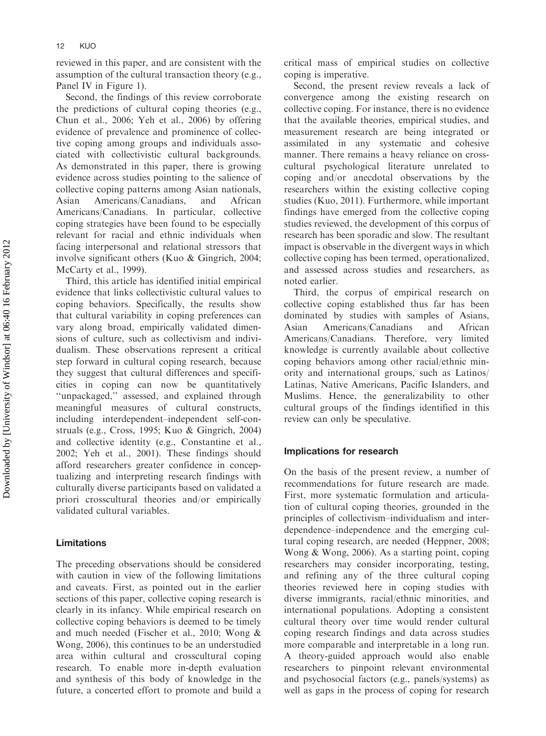reviewed in this paper, and are consistent with the assumption of the cultural transaction theory (e.g., Panel IV in Figure 1).

Second, the findings of this review corroborate the predictions of cultural coping theories (e.g., Chun et al., 2006; Yeh et al., 2006) by offering evidence of prevalence and prominence of collective coping among groups and individuals associated with collectivistic cultural backgrounds. As demonstrated in this paper, there is growing evidence across studies pointing to the salience of collective coping patterns among Asian nationals, Asian Americans/Canadians, and African Americans/Canadians. In particular, collective coping strategies have been found to be especially relevant for racial and ethnic individuals when facing interpersonal and relational stressors that involve significant others (Kuo & Gingrich, 2004; McCarty et al., 1999).

Third, this article has identified initial empirical evidence that links collectivistic cultural values to coping behaviors. Specifically, the results show that cultural variability in coping preferences can vary along broad, empirically validated dimensions of culture, such as collectivism and individualism. These observations represent a critical step forward in cultural coping research, because they suggest that cultural differences and specificities in coping can now be quantitatively ''unpackaged,'' assessed, and explained through meaningful measures of cultural constructs, including interdependent–independent self-construals (e.g., Cross, 1995; Kuo & Gingrich, 2004) and collective identity (e.g., Constantine et al., 2002; Yeh et al., 2001). These findings should afford researchers greater confidence in conceptualizing and interpreting research findings with culturally diverse participants based on validated a priori crosscultural theories and/or empirically validated cultural variables.

### Limitations

The preceding observations should be considered with caution in view of the following limitations and caveats. First, as pointed out in the earlier sections of this paper, collective coping research is clearly in its infancy. While empirical research on collective coping behaviors is deemed to be timely and much needed (Fischer et al., 2010; Wong & Wong, 2006), this continues to be an understudied area within cultural and crosscultural coping research. To enable more in-depth evaluation and synthesis of this body of knowledge in the future, a concerted effort to promote and build a

critical mass of empirical studies on collective coping is imperative.

Second, the present review reveals a lack of convergence among the existing research on collective coping. For instance, there is no evidence that the available theories, empirical studies, and measurement research are being integrated or assimilated in any systematic and cohesive manner. There remains a heavy reliance on crosscultural psychological literature unrelated to coping and/or anecdotal observations by the researchers within the existing collective coping studies (Kuo, 2011). Furthermore, while important findings have emerged from the collective coping studies reviewed, the development of this corpus of research has been sporadic and slow. The resultant impact is observable in the divergent ways in which collective coping has been termed, operationalized, and assessed across studies and researchers, as noted earlier.

Third, the corpus of empirical research on collective coping established thus far has been dominated by studies with samples of Asians, Asian Americans/Canadians and African Americans/Canadians. Therefore, very limited knowledge is currently available about collective coping behaviors among other racial/ethnic minority and international groups, such as Latinos/ Latinas, Native Americans, Pacific Islanders, and Muslims. Hence, the generalizability to other cultural groups of the findings identified in this review can only be speculative.

#### Implications for research

On the basis of the present review, a number of recommendations for future research are made. First, more systematic formulation and articulation of cultural coping theories, grounded in the principles of collectivism–individualism and interdependence–independence and the emerging cultural coping research, are needed (Heppner, 2008; Wong & Wong, 2006). As a starting point, coping researchers may consider incorporating, testing, and refining any of the three cultural coping theories reviewed here in coping studies with diverse immigrants, racial/ethnic minorities, and international populations. Adopting a consistent cultural theory over time would render cultural coping research findings and data across studies more comparable and interpretable in a long run. A theory-guided approach would also enable researchers to pinpoint relevant environmental and psychosocial factors (e.g., panels/systems) as well as gaps in the process of coping for research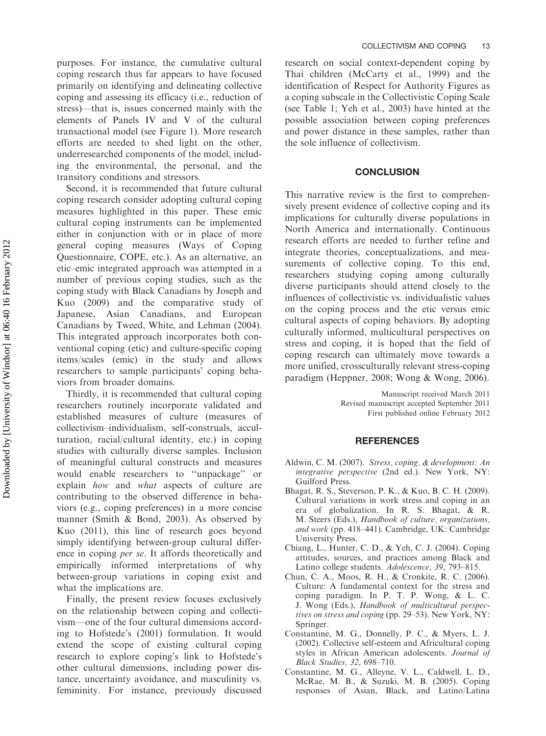Downloaded by [University of Windsor] at 06:40 16 February 2012 Downloaded by [University of Windsor] at 06:40 16 February 2012 purposes. For instance, the cumulative cultural coping research thus far appears to have focused primarily on identifying and delineating collective coping and assessing its efficacy (i.e., reduction of stress)—that is, issues concerned mainly with the elements of Panels IV and V of the cultural transactional model (see Figure 1). More research efforts are needed to shed light on the other, underresearched components of the model, including the environmental, the personal, and the transitory conditions and stressors.

Second, it is recommended that future cultural coping research consider adopting cultural coping measures highlighted in this paper. These emic cultural coping instruments can be implemented either in conjunction with or in place of more general coping measures (Ways of Coping Questionnaire, COPE, etc.). As an alternative, an etic–emic integrated approach was attempted in a number of previous coping studies, such as the coping study with Black Canadians by Joseph and Kuo (2009) and the comparative study of Japanese, Asian Canadians, and European Canadians by Tweed, White, and Lehman (2004). This integrated approach incorporates both conventional coping (etic) and culture-specific coping items/scales (emic) in the study and allows researchers to sample participants' coping behaviors from broader domains.

Thirdly, it is recommended that cultural coping researchers routinely incorporate validated and established measures of culture (measures of collectivism–individualism, self-construals, acculturation, racial/cultural identity, etc.) in coping studies with culturally diverse samples. Inclusion of meaningful cultural constructs and measures would enable researchers to ''unpackage'' or explain how and what aspects of culture are contributing to the observed difference in behaviors (e.g., coping preferences) in a more concise manner (Smith & Bond, 2003). As observed by Kuo (2011), this line of research goes beyond simply identifying between-group cultural difference in coping *per se*. It affords theoretically and empirically informed interpretations of why between-group variations in coping exist and what the implications are.

Finally, the present review focuses exclusively on the relationship between coping and collectivism—one of the four cultural dimensions according to Hofstede's (2001) formulation. It would extend the scope of existing cultural coping research to explore coping's link to Hofstede's other cultural dimensions, including power distance, uncertainty avoidance, and masculinity vs. femininity. For instance, previously discussed

research on social context-dependent coping by Thai children (McCarty et al., 1999) and the identification of Respect for Authority Figures as a coping subscale in the Collectivistic Coping Scale (see Table 1; Yeh et al., 2003) have hinted at the possible association between coping preferences and power distance in these samples, rather than the sole influence of collectivism.

#### **CONCLUSION**

This narrative review is the first to comprehensively present evidence of collective coping and its implications for culturally diverse populations in North America and internationally. Continuous research efforts are needed to further refine and integrate theories, conceptualizations, and measurements of collective coping. To this end, researchers studying coping among culturally diverse participants should attend closely to the influences of collectivistic vs. individualistic values on the coping process and the etic versus emic cultural aspects of coping behaviors. By adopting culturally informed, multicultural perspectives on stress and coping, it is hoped that the field of coping research can ultimately move towards a more unified, crossculturally relevant stress-coping paradigm (Heppner, 2008; Wong & Wong, 2006).

> Manuscript received March 2011 Revised manuscript accepted September 2011 First published online February 2012

#### **REFERENCES**

- Aldwin, C. M. (2007). Stress, coping, & development: An integrative perspective (2nd ed.). New York, NY: Guilford Press.
- Bhagat, R. S., Steverson, P. K., & Kuo, B. C. H. (2009). Cultural variations in work stress and coping in an era of globalization. In R. S. Bhagat, & R. M. Steers (Eds.), Handbook of culture, organizations, and work (pp. 418–441). Cambridge, UK: Cambridge University Press.
- Chiang, L., Hunter, C. D., & Yeh, C. J. (2004). Coping attitudes, sources, and practices among Black and Latino college students. Adolescence, 39, 793–815.
- Chun, C. A., Moos, R. H., & Cronkite, R. C. (2006). Culture: A fundamental context for the stress and coping paradigm. In P. T. P. Wong, & L. C. J. Wong (Eds.), Handbook of multicultural perspectives on stress and coping (pp. 29–53). New York, NY: Springer.
- Constantine, M. G., Donnelly, P. C., & Myers, L. J. (2002). Collective self-esteem and Africultural coping styles in African American adolescents. Journal of Black Studies, 32, 698–710.
- Constantine, M. G., Alleyne, V. L., Caldwell, L. D., McRae, M. B., & Suzuki, M. B. (2005). Coping responses of Asian, Black, and Latino/Latina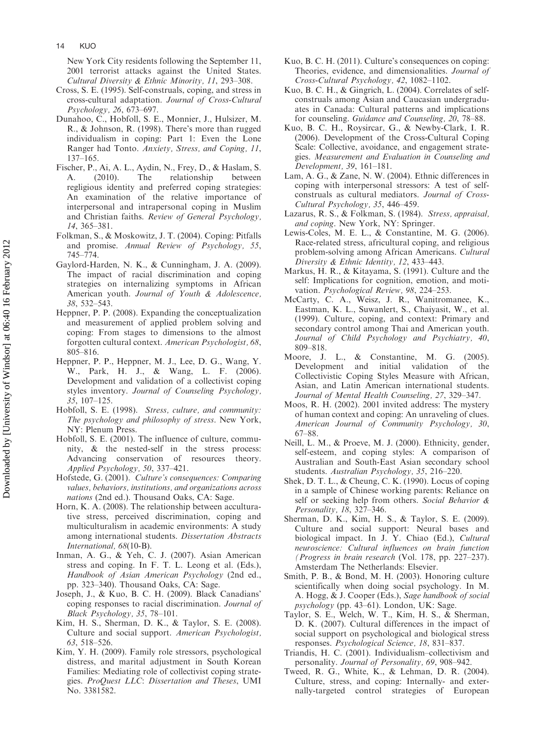New York City residents following the September 11, 2001 terrorist attacks against the United States. Cultural Diversity & Ethnic Minority, 11, 293–308.

- Cross, S. E. (1995). Self-construals, coping, and stress in cross-cultural adaptation. Journal of Cross-Cultural Psychology, 26, 673–697.
- Dunahoo, C., Hobfoll, S. E., Monnier, J., Hulsizer, M. R., & Johnson, R. (1998). There's more than rugged individualism in coping: Part 1: Even the Lone Ranger had Tonto. Anxiety, Stress, and Coping, 11, 137–165.
- Fischer, P., Ai, A. L., Aydin, N., Frey, D., & Haslam, S. A. (2010). The relationship between regligious identity and preferred coping strategies: An examination of the relative importance of interpersonal and intrapersonal coping in Muslim and Christian faiths. Review of General Psychology, 14, 365–381.
- Folkman, S., & Moskowitz, J. T. (2004). Coping: Pitfalls and promise. Annual Review of Psychology, 55, 745–774.
- Gaylord-Harden, N. K., & Cunningham, J. A. (2009). The impact of racial discrimination and coping strategies on internalizing symptoms in African American youth. Journal of Youth & Adolescence, 38, 532–543.
- Heppner, P. P. (2008). Expanding the conceptualization and measurement of applied problem solving and coping: From stages to dimensions to the almost forgotten cultural context. American Psychologist, 68, 805–816.
- Heppner, P. P., Heppner, M. J., Lee, D. G., Wang, Y. W., Park, H. J., & Wang, L. F. (2006). Development and validation of a collectivist coping styles inventory. Journal of Counseling Psychology, 35, 107–125.
- Hobfoll, S. E. (1998). Stress, culture, and community: The psychology and philosophy of stress. New York, NY: Plenum Press.
- Hobfoll, S. E. (2001). The influence of culture, community, & the nested-self in the stress process: Advancing conservation of resources theory. Applied Psychology, 50, 337–421.
- Hofstede, G. (2001). Culture's consequences: Comparing values, behaviors, institutions, and organizations across nations (2nd ed.). Thousand Oaks, CA: Sage.
- Horn, K. A. (2008). The relationship between acculturative stress, perceived discrimination, coping and multiculturalism in academic environments: A study among international students. Dissertation Abstracts International, 68(10-B).
- Inman, A. G., & Yeh, C. J. (2007). Asian American stress and coping. In F. T. L. Leong et al. (Eds.), Handbook of Asian American Psychology (2nd ed., pp. 323–340). Thousand Oaks, CA: Sage.
- Joseph, J., & Kuo, B. C. H. (2009). Black Canadians' coping responses to racial discrimination. Journal of Black Psychology, 35, 78–101.
- Kim, H. S., Sherman, D. K., & Taylor, S. E. (2008). Culture and social support. American Psychologist, 63, 518–526.
- Kim, Y. H. (2009). Family role stressors, psychological distress, and marital adjustment in South Korean Families: Mediating role of collectivist coping strategies. ProQuest LLC: Dissertation and Theses, UMI No. 3381582.
- Kuo, B. C. H. (2011). Culture's consequences on coping: Theories, evidence, and dimensionalities. Journal of Cross-Cultural Psychology, 42, 1082–1102.
- Kuo, B. C. H., & Gingrich, L. (2004). Correlates of selfconstruals among Asian and Caucasian undergraduates in Canada: Cultural patterns and implications for counseling. Guidance and Counseling, 20, 78–88.
- Kuo, B. C. H., Roysircar, G., & Newby-Clark, I. R. (2006). Development of the Cross-Cultural Coping Scale: Collective, avoidance, and engagement strategies. Measurement and Evaluation in Counseling and Development, 39, 161–181.
- Lam, A. G., & Zane, N. W. (2004). Ethnic differences in coping with interpersonal stressors: A test of selfconstruals as cultural mediators. Journal of Cross-Cultural Psychology, 35, 446–459.
- Lazarus, R. S., & Folkman, S. (1984). Stress, appraisal, and coping. New York, NY: Springer.
- Lewis-Coles, M. E. L., & Constantine, M. G. (2006). Race-related stress, africultural coping, and religious problem-solving among African Americans. Cultural Diversity & Ethnic Identity, 12, 433–443.
- Markus, H. R., & Kitayama, S. (1991). Culture and the self: Implications for cognition, emotion, and motivation. Psychological Review, 98, 224–253.
- McCarty, C. A., Weisz, J. R., Wanitromanee, K., Eastman, K. L., Suwanlert, S., Chaiyasit, W., et al. (1999). Culture, coping, and context: Primary and secondary control among Thai and American youth. Journal of Child Psychology and Psychiatry, 40,
- 809–818.<br>Moore, J. L., & Constantine, M. G. (2005). Development and initial validation of the Collectivistic Coping Styles Measure with African, Asian, and Latin American international students. Journal of Mental Health Counseling, 27, 329–347.
- Moos, R. H. (2002). 2001 invited address: The mystery of human context and coping: An unraveling of clues. American Journal of Community Psychology, 30, 67–88.
- Neill, L. M., & Proeve, M. J. (2000). Ethnicity, gender, self-esteem, and coping styles: A comparison of Australian and South-East Asian secondary school students. Australian Psychology, 35, 216–220.
- Shek, D. T. L., & Cheung, C. K. (1990). Locus of coping in a sample of Chinese working parents: Reliance on self or seeking help from others. Social Behavior & Personality, 18, 327–346.
- Sherman, D. K., Kim, H. S., & Taylor, S. E. (2009). Culture and social support: Neural bases and biological impact. In J. Y. Chiao (Ed.), Cultural neuroscience: Cultural influences on brain function (Progress in brain research (Vol. 178, pp. 227–237). Amsterdam The Netherlands: Elsevier.
- Smith, P. B., & Bond, M. H. (2003). Honoring culture scientifically when doing social psychology. In M. A. Hogg, & J. Cooper (Eds.), Sage handbook of social psychology (pp. 43–61). London, UK: Sage.
- Taylor, S. E., Welch, W. T., Kim, H. S., & Sherman, D. K. (2007). Cultural differences in the impact of social support on psychological and biological stress responses. Psychological Science, 18, 831–837.
- Triandis, H. C. (2001). Individualism–collectivism and personality. Journal of Personality, 69, 908–942.
- Tweed, R. G., White, K., & Lehman, D. R. (2004). Culture, stress, and coping: Internally- and externally-targeted control strategies of European